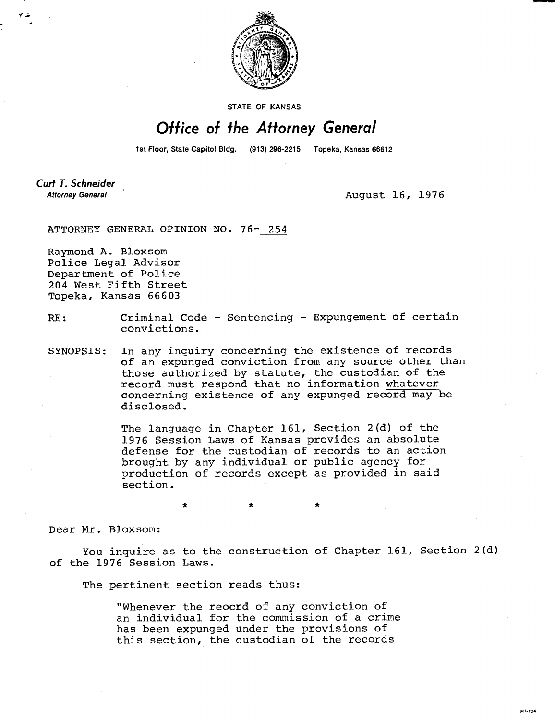

STATE OF KANSAS

## Office of the Attorney General

1st Floor, State Capitol Bldg. (913) 296-2215 Topeka, Kansas 66612

**Curt T. Schneider Attorney General** 

August 16, 1976

M1-104

ATTORNEY GENERAL OPINION NO. 76- 254

Raymond A. Bloxsom Police Legal Advisor Department of Police 204 West Fifth Street Topeka, Kansas 66603

## RE: Criminal Code - Sentencing - Expungement of certain convictions.

SYNOPSIS: In any inquiry concerning the existence of records of an expunged conviction from any source other than those authorized by statute, the custodian of the record must respond that no information whatever concerning existence of any expunged record may be disclosed.

> The language in Chapter 161, Section 2(d) of the 1976 Session Laws of Kansas provides an absolute defense for the custodian of records to an action brought by any individual or public agency for production of records except as provided in said section.

> > $\ddot{\textbf{x}}$

\*

Dear Mr. Bloxsom:

You inquire as to the construction of Chapter 161, Section 2(d) of the 1976 Session Laws.

The pertinent section reads thus:

"Whenever the reocrd of any conviction of an individual for the commission of a crime has been expunged under the provisions of this section, the custodian of the records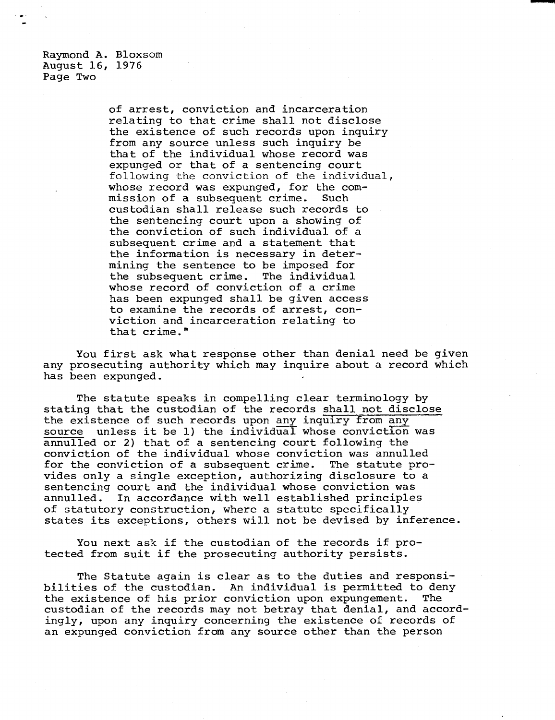Raymond A. Bloxsom August 16, 1976 Page Two

> of arrest, conviction and incarceration relating to that crime shall not disclose the existence of such records upon inquiry from any source unless such inquiry be that of the individual whose record was expunged or that of a sentencing court following the conviction of the individual, whose record was expunged, for the commission of a subsequent crime. Such custodian shall release such records to the sentencing court upon a showing of the conviction of such individual of a subsequent crime and a statement that the information is necessary in determining the sentence to be imposed for the subsequent crime. The individual whose record of conviction of a crime has been expunged shall be given access to examine the records of arrest, conviction and incarceration relating to that crime."

You first ask what response other than denial need be given any prosecuting authority which may inquire about a record which has been expunged.

The statute speaks in compelling clear terminology by stating that the custodian of the records shall not disclose the existence of such records upon any inquiry from any source unless it be 1) the individual whose conviction was annulled or 2) that of a sentencing court following the conviction of the individual whose conviction was annulled for the conviction of a subsequent crime. The statute provides only a single exception, authorizing disclosure to a sentencing court and the individual whose conviction was annulled. In accordance with well established principles of statutory construction, where a statute specifically states its exceptions, others will not be devised by inference.

You next ask if the custodian of the records if protected from suit if the prosecuting authority persists.

The Statute again is clear as to the duties and responsibilities of the custodian. An individual is permitted to deny the existence of his prior conviction upon expungement. The custodian of the records may not betray that denial, and accordingly, upon any inquiry concerning the existence of records of an expunged conviction from any source other than the person